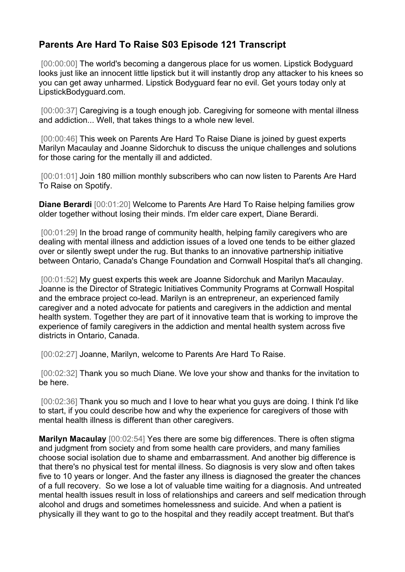## **Parents Are Hard To Raise S03 Episode 121 Transcript**

[00:00:00] The world's becoming a dangerous place for us women. Lipstick Bodyguard looks just like an innocent little lipstick but it will instantly drop any attacker to his knees so you can get away unharmed. Lipstick Bodyguard fear no evil. Get yours today only at LipstickBodyguard.com.

[00:00:37] Caregiving is a tough enough job. Caregiving for someone with mental illness and addiction... Well, that takes things to a whole new level.

[00:00:46] This week on Parents Are Hard To Raise Diane is joined by guest experts Marilyn Macaulay and Joanne Sidorchuk to discuss the unique challenges and solutions for those caring for the mentally ill and addicted.

[00:01:01] Join 180 million monthly subscribers who can now listen to Parents Are Hard To Raise on Spotify.

**Diane Berardi** [00:01:20] Welcome to Parents Are Hard To Raise helping families grow older together without losing their minds. I'm elder care expert, Diane Berardi.

[00:01:29] In the broad range of community health, helping family caregivers who are dealing with mental illness and addiction issues of a loved one tends to be either glazed over or silently swept under the rug. But thanks to an innovative partnership initiative between Ontario, Canada's Change Foundation and Cornwall Hospital that's all changing.

[00:01:52] My guest experts this week are Joanne Sidorchuk and Marilyn Macaulay. Joanne is the Director of Strategic Initiatives Community Programs at Cornwall Hospital and the embrace project co-lead. Marilyn is an entrepreneur, an experienced family caregiver and a noted advocate for patients and caregivers in the addiction and mental health system. Together they are part of it innovative team that is working to improve the experience of family caregivers in the addiction and mental health system across five districts in Ontario, Canada.

[00:02:27] Joanne, Marilyn, welcome to Parents Are Hard To Raise.

[00:02:32] Thank you so much Diane. We love your show and thanks for the invitation to be here.

[00:02:36] Thank you so much and I love to hear what you guys are doing. I think I'd like to start, if you could describe how and why the experience for caregivers of those with mental health illness is different than other caregivers.

**Marilyn Macaulay** [00:02:54] Yes there are some big differences. There is often stigma and judgment from society and from some health care providers, and many families choose social isolation due to shame and embarrassment. And another big difference is that there's no physical test for mental illness. So diagnosis is very slow and often takes five to 10 years or longer. And the faster any illness is diagnosed the greater the chances of a full recovery. So we lose a lot of valuable time waiting for a diagnosis. And untreated mental health issues result in loss of relationships and careers and self medication through alcohol and drugs and sometimes homelessness and suicide. And when a patient is physically ill they want to go to the hospital and they readily accept treatment. But that's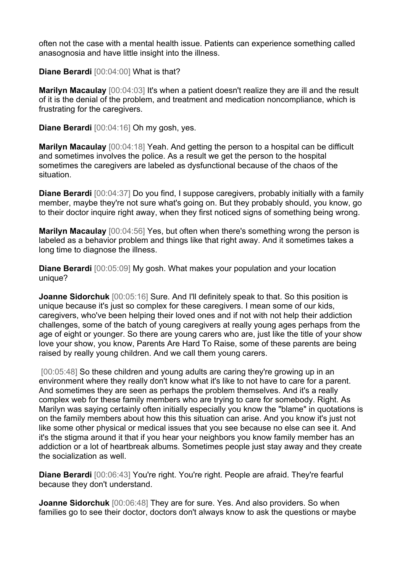often not the case with a mental health issue. Patients can experience something called anasognosia and have little insight into the illness.

**Diane Berardi** [00:04:00] What is that?

**Marilyn Macaulay** [00:04:03] It's when a patient doesn't realize they are ill and the result of it is the denial of the problem, and treatment and medication noncompliance, which is frustrating for the caregivers.

**Diane Berardi** [00:04:16] Oh my gosh, yes.

**Marilyn Macaulay** [00:04:18] Yeah. And getting the person to a hospital can be difficult and sometimes involves the police. As a result we get the person to the hospital sometimes the caregivers are labeled as dysfunctional because of the chaos of the situation.

**Diane Berardi** [00:04:37] Do you find, I suppose caregivers, probably initially with a family member, maybe they're not sure what's going on. But they probably should, you know, go to their doctor inquire right away, when they first noticed signs of something being wrong.

**Marilyn Macaulay** [00:04:56] Yes, but often when there's something wrong the person is labeled as a behavior problem and things like that right away. And it sometimes takes a long time to diagnose the illness.

**Diane Berardi** [00:05:09] My gosh. What makes your population and your location unique?

**Joanne Sidorchuk** [00:05:16] Sure. And I'll definitely speak to that. So this position is unique because it's just so complex for these caregivers. I mean some of our kids, caregivers, who've been helping their loved ones and if not with not help their addiction challenges, some of the batch of young caregivers at really young ages perhaps from the age of eight or younger. So there are young carers who are, just like the title of your show love your show, you know, Parents Are Hard To Raise, some of these parents are being raised by really young children. And we call them young carers.

[00:05:48] So these children and young adults are caring they're growing up in an environment where they really don't know what it's like to not have to care for a parent. And sometimes they are seen as perhaps the problem themselves. And it's a really complex web for these family members who are trying to care for somebody. Right. As Marilyn was saying certainly often initially especially you know the "blame" in quotations is on the family members about how this this situation can arise. And you know it's just not like some other physical or medical issues that you see because no else can see it. And it's the stigma around it that if you hear your neighbors you know family member has an addiction or a lot of heartbreak albums. Sometimes people just stay away and they create the socialization as well.

**Diane Berardi** [00:06:43] You're right. You're right. People are afraid. They're fearful because they don't understand.

**Joanne Sidorchuk** [00:06:48] They are for sure. Yes. And also providers. So when families go to see their doctor, doctors don't always know to ask the questions or maybe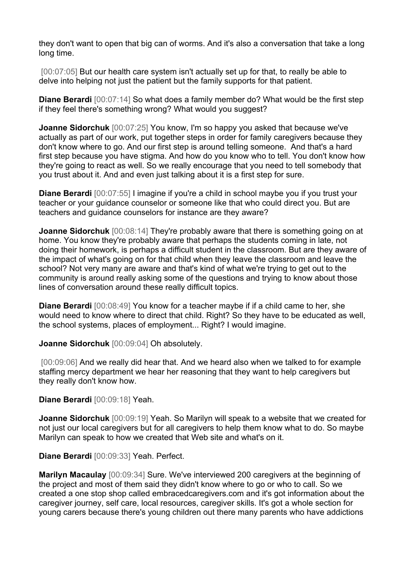they don't want to open that big can of worms. And it's also a conversation that take a long long time.

[00:07:05] But our health care system isn't actually set up for that, to really be able to delve into helping not just the patient but the family supports for that patient.

**Diane Berardi** [00:07:14] So what does a family member do? What would be the first step if they feel there's something wrong? What would you suggest?

**Joanne Sidorchuk** [00:07:25] You know, I'm so happy you asked that because we've actually as part of our work, put together steps in order for family caregivers because they don't know where to go. And our first step is around telling someone. And that's a hard first step because you have stigma. And how do you know who to tell. You don't know how they're going to react as well. So we really encourage that you need to tell somebody that you trust about it. And and even just talking about it is a first step for sure.

**Diane Berardi** [00:07:55] I imagine if you're a child in school maybe you if you trust your teacher or your guidance counselor or someone like that who could direct you. But are teachers and guidance counselors for instance are they aware?

**Joanne Sidorchuk** [00:08:14] They're probably aware that there is something going on at home. You know they're probably aware that perhaps the students coming in late, not doing their homework, is perhaps a difficult student in the classroom. But are they aware of the impact of what's going on for that child when they leave the classroom and leave the school? Not very many are aware and that's kind of what we're trying to get out to the community is around really asking some of the questions and trying to know about those lines of conversation around these really difficult topics.

**Diane Berardi** [00:08:49] You know for a teacher maybe if if a child came to her, she would need to know where to direct that child. Right? So they have to be educated as well, the school systems, places of employment... Right? I would imagine.

**Joanne Sidorchuk** [00:09:04] Oh absolutely.

[00:09:06] And we really did hear that. And we heard also when we talked to for example staffing mercy department we hear her reasoning that they want to help caregivers but they really don't know how.

**Diane Berardi** [00:09:18] Yeah.

**Joanne Sidorchuk** [00:09:19] Yeah. So Marilyn will speak to a website that we created for not just our local caregivers but for all caregivers to help them know what to do. So maybe Marilyn can speak to how we created that Web site and what's on it.

**Diane Berardi** [00:09:33] Yeah. Perfect.

**Marilyn Macaulay** [00:09:34] Sure. We've interviewed 200 caregivers at the beginning of the project and most of them said they didn't know where to go or who to call. So we created a one stop shop called embracedcaregivers.com and it's got information about the caregiver journey, self care, local resources, caregiver skills. It's got a whole section for young carers because there's young children out there many parents who have addictions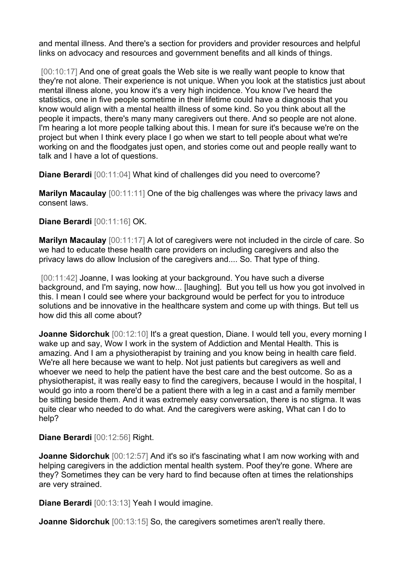and mental illness. And there's a section for providers and provider resources and helpful links on advocacy and resources and government benefits and all kinds of things.

[00:10:17] And one of great goals the Web site is we really want people to know that they're not alone. Their experience is not unique. When you look at the statistics just about mental illness alone, you know it's a very high incidence. You know I've heard the statistics, one in five people sometime in their lifetime could have a diagnosis that you know would align with a mental health illness of some kind. So you think about all the people it impacts, there's many many caregivers out there. And so people are not alone. I'm hearing a lot more people talking about this. I mean for sure it's because we're on the project but when I think every place I go when we start to tell people about what we're working on and the floodgates just open, and stories come out and people really want to talk and I have a lot of questions.

**Diane Berardi** [00:11:04] What kind of challenges did you need to overcome?

**Marilyn Macaulay** [00:11:11] One of the big challenges was where the privacy laws and consent laws.

## **Diane Berardi** [00:11:16] OK.

**Marilyn Macaulay** [00:11:17] A lot of caregivers were not included in the circle of care. So we had to educate these health care providers on including caregivers and also the privacy laws do allow Inclusion of the caregivers and.... So. That type of thing.

[00:11:42] Joanne, I was looking at your background. You have such a diverse background, and I'm saying, now how... [laughing]. But you tell us how you got involved in this. I mean I could see where your background would be perfect for you to introduce solutions and be innovative in the healthcare system and come up with things. But tell us how did this all come about?

**Joanne Sidorchuk** [00:12:10] It's a great question, Diane. I would tell you, every morning I wake up and say, Wow I work in the system of Addiction and Mental Health. This is amazing. And I am a physiotherapist by training and you know being in health care field. We're all here because we want to help. Not just patients but caregivers as well and whoever we need to help the patient have the best care and the best outcome. So as a physiotherapist, it was really easy to find the caregivers, because I would in the hospital, I would go into a room there'd be a patient there with a leg in a cast and a family member be sitting beside them. And it was extremely easy conversation, there is no stigma. It was quite clear who needed to do what. And the caregivers were asking, What can I do to help?

**Diane Berardi** [00:12:56] Right.

**Joanne Sidorchuk** [00:12:57] And it's so it's fascinating what I am now working with and helping caregivers in the addiction mental health system. Poof they're gone. Where are they? Sometimes they can be very hard to find because often at times the relationships are very strained.

**Diane Berardi** [00:13:13] Yeah I would imagine.

**Joanne Sidorchuk** [00:13:15] So, the caregivers sometimes aren't really there.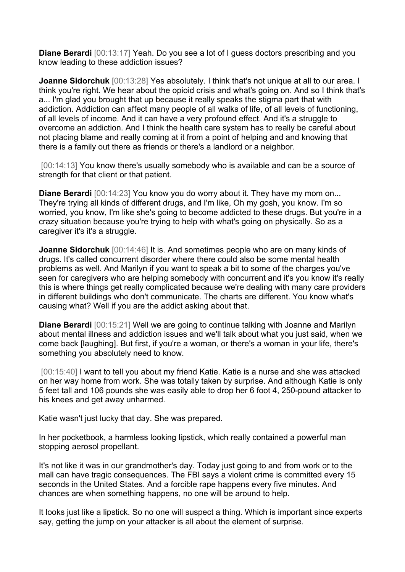**Diane Berardi** [00:13:17] Yeah. Do you see a lot of I guess doctors prescribing and you know leading to these addiction issues?

**Joanne Sidorchuk** [00:13:28] Yes absolutely. I think that's not unique at all to our area. I think you're right. We hear about the opioid crisis and what's going on. And so I think that's a... I'm glad you brought that up because it really speaks the stigma part that with addiction. Addiction can affect many people of all walks of life, of all levels of functioning, of all levels of income. And it can have a very profound effect. And it's a struggle to overcome an addiction. And I think the health care system has to really be careful about not placing blame and really coming at it from a point of helping and and knowing that there is a family out there as friends or there's a landlord or a neighbor.

[00:14:13] You know there's usually somebody who is available and can be a source of strength for that client or that patient.

**Diane Berardi** [00:14:23] You know you do worry about it. They have my mom on... They're trying all kinds of different drugs, and I'm like, Oh my gosh, you know. I'm so worried, you know, I'm like she's going to become addicted to these drugs. But you're in a crazy situation because you're trying to help with what's going on physically. So as a caregiver it's it's a struggle.

**Joanne Sidorchuk** [00:14:46] It is. And sometimes people who are on many kinds of drugs. It's called concurrent disorder where there could also be some mental health problems as well. And Marilyn if you want to speak a bit to some of the charges you've seen for caregivers who are helping somebody with concurrent and it's you know it's really this is where things get really complicated because we're dealing with many care providers in different buildings who don't communicate. The charts are different. You know what's causing what? Well if you are the addict asking about that.

**Diane Berardi** [00:15:21] Well we are going to continue talking with Joanne and Marilyn about mental illness and addiction issues and we'll talk about what you just said, when we come back [laughing]. But first, if you're a woman, or there's a woman in your life, there's something you absolutely need to know.

[00:15:40] I want to tell you about my friend Katie. Katie is a nurse and she was attacked on her way home from work. She was totally taken by surprise. And although Katie is only 5 feet tall and 106 pounds she was easily able to drop her 6 foot 4, 250-pound attacker to his knees and get away unharmed.

Katie wasn't just lucky that day. She was prepared.

In her pocketbook, a harmless looking lipstick, which really contained a powerful man stopping aerosol propellant.

It's not like it was in our grandmother's day. Today just going to and from work or to the mall can have tragic consequences. The FBI says a violent crime is committed every 15 seconds in the United States. And a forcible rape happens every five minutes. And chances are when something happens, no one will be around to help.

It looks just like a lipstick. So no one will suspect a thing. Which is important since experts say, getting the jump on your attacker is all about the element of surprise.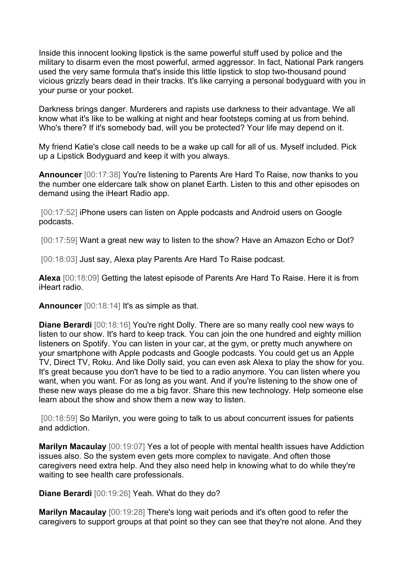Inside this innocent looking lipstick is the same powerful stuff used by police and the military to disarm even the most powerful, armed aggressor. In fact, National Park rangers used the very same formula that's inside this little lipstick to stop two-thousand pound vicious grizzly bears dead in their tracks. It's like carrying a personal bodyguard with you in your purse or your pocket.

Darkness brings danger. Murderers and rapists use darkness to their advantage. We all know what it's like to be walking at night and hear footsteps coming at us from behind. Who's there? If it's somebody bad, will you be protected? Your life may depend on it.

My friend Katie's close call needs to be a wake up call for all of us. Myself included. Pick up a Lipstick Bodyguard and keep it with you always.

**Announcer** [00:17:38] You're listening to Parents Are Hard To Raise, now thanks to you the number one eldercare talk show on planet Earth. Listen to this and other episodes on demand using the iHeart Radio app.

[00:17:52] iPhone users can listen on Apple podcasts and Android users on Google podcasts.

[00:17:59] Want a great new way to listen to the show? Have an Amazon Echo or Dot?

[00:18:03] Just say, Alexa play Parents Are Hard To Raise podcast.

**Alexa** [00:18:09] Getting the latest episode of Parents Are Hard To Raise. Here it is from iHeart radio.

**Announcer** [00:18:14] It's as simple as that.

**Diane Berardi** [00:18:16] You're right Dolly. There are so many really cool new ways to listen to our show. It's hard to keep track. You can join the one hundred and eighty million listeners on Spotify. You can listen in your car, at the gym, or pretty much anywhere on your smartphone with Apple podcasts and Google podcasts. You could get us an Apple TV, Direct TV, Roku. And like Dolly said, you can even ask Alexa to play the show for you. It's great because you don't have to be tied to a radio anymore. You can listen where you want, when you want. For as long as you want. And if you're listening to the show one of these new ways please do me a big favor. Share this new technology. Help someone else learn about the show and show them a new way to listen.

[00:18:59] So Marilyn, you were going to talk to us about concurrent issues for patients and addiction.

**Marilyn Macaulay** [00:19:07] Yes a lot of people with mental health issues have Addiction issues also. So the system even gets more complex to navigate. And often those caregivers need extra help. And they also need help in knowing what to do while they're waiting to see health care professionals.

**Diane Berardi** [00:19:26] Yeah. What do they do?

**Marilyn Macaulay** [00:19:28] There's long wait periods and it's often good to refer the caregivers to support groups at that point so they can see that they're not alone. And they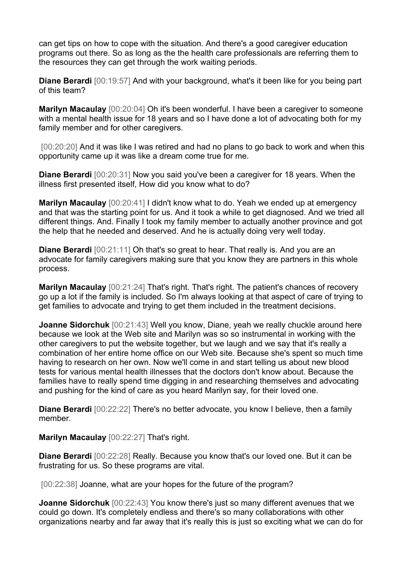can get tips on how to cope with the situation. And there's a good caregiver education programs out there. So as long as the the health care professionals are referring them to the resources they can get through the work waiting periods.

**Diane Berardi** [00:19:57] And with your background, what's it been like for you being part of this team?

**Marilyn Macaulay** [00:20:04] Oh it's been wonderful. I have been a caregiver to someone with a mental health issue for 18 years and so I have done a lot of advocating both for my family member and for other caregivers.

[00:20:20] And it was like I was retired and had no plans to go back to work and when this opportunity came up it was like a dream come true for me.

**Diane Berardi** [00:20:31] Now you said you've been a caregiver for 18 years. When the illness first presented itself, How did you know what to do?

**Marilyn Macaulay** [00:20:41] I didn't know what to do. Yeah we ended up at emergency and that was the starting point for us. And it took a while to get diagnosed. And we tried all different things. And. Finally I took my family member to actually another province and got the help that he needed and deserved. And he is actually doing very well today.

**Diane Berardi** [00:21:11] Oh that's so great to hear. That really is. And you are an advocate for family caregivers making sure that you know they are partners in this whole process.

**Marilyn Macaulay** [00:21:24] That's right. That's right. The patient's chances of recovery go up a lot if the family is included. So I'm always looking at that aspect of care of trying to get families to advocate and trying to get them included in the treatment decisions.

**Joanne Sidorchuk** [00:21:43] Well you know, Diane, yeah we really chuckle around here because we look at the Web site and Marilyn was so so instrumental in working with the other caregivers to put the website together, but we laugh and we say that it's really a combination of her entire home office on our Web site. Because she's spent so much time having to research on her own. Now we'll come in and start telling us about new blood tests for various mental health illnesses that the doctors don't know about. Because the families have to really spend time digging in and researching themselves and advocating and pushing for the kind of care as you heard Marilyn say, for their loved one.

**Diane Berardi** [00:22:22] There's no better advocate, you know I believe, then a family member.

**Marilyn Macaulay** [00:22:27] That's right.

**Diane Berardi** [00:22:28] Really. Because you know that's our loved one. But it can be frustrating for us. So these programs are vital.

[00:22:38] Joanne, what are your hopes for the future of the program?

**Joanne Sidorchuk** [00:22:43] You know there's just so many different avenues that we could go down. It's completely endless and there's so many collaborations with other organizations nearby and far away that it's really this is just so exciting what we can do for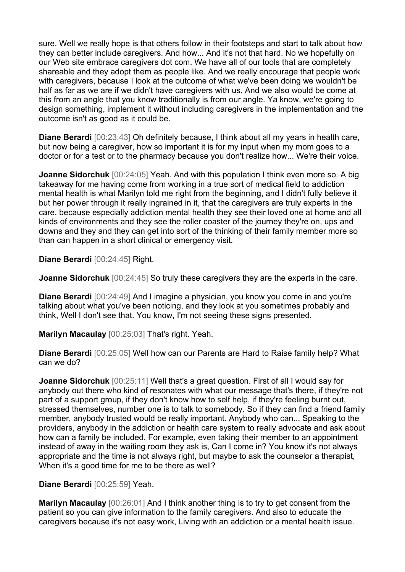sure. Well we really hope is that others follow in their footsteps and start to talk about how they can better include caregivers. And how... And it's not that hard. No we hopefully on our Web site embrace caregivers dot com. We have all of our tools that are completely shareable and they adopt them as people like. And we really encourage that people work with caregivers, because I look at the outcome of what we've been doing we wouldn't be half as far as we are if we didn't have caregivers with us. And we also would be come at this from an angle that you know traditionally is from our angle. Ya know, we're going to design something, implement it without including caregivers in the implementation and the outcome isn't as good as it could be.

**Diane Berardi** [00:23:43] Oh definitely because, I think about all my years in health care, but now being a caregiver, how so important it is for my input when my mom goes to a doctor or for a test or to the pharmacy because you don't realize how... We're their voice.

**Joanne Sidorchuk** [00:24:05] Yeah. And with this population I think even more so. A big takeaway for me having come from working in a true sort of medical field to addiction mental health is what Marilyn told me right from the beginning, and I didn't fully believe it but her power through it really ingrained in it, that the caregivers are truly experts in the care, because especially addiction mental health they see their loved one at home and all kinds of environments and they see the roller coaster of the journey they're on, ups and downs and they and they can get into sort of the thinking of their family member more so than can happen in a short clinical or emergency visit.

**Diane Berardi** [00:24:45] Right.

**Joanne Sidorchuk** [00:24:45] So truly these caregivers they are the experts in the care.

**Diane Berardi** [00:24:49] And I imagine a physician, you know you come in and you're talking about what you've been noticing, and they look at you sometimes probably and think, Well I don't see that. You know, I'm not seeing these signs presented.

**Marilyn Macaulay** [00:25:03] That's right. Yeah.

**Diane Berardi** [00:25:05] Well how can our Parents are Hard to Raise family help? What can we do?

**Joanne Sidorchuk** [00:25:11] Well that's a great question. First of all I would say for anybody out there who kind of resonates with what our message that's there, if they're not part of a support group, if they don't know how to self help, if they're feeling burnt out, stressed themselves, number one is to talk to somebody. So if they can find a friend family member, anybody trusted would be really important. Anybody who can... Speaking to the providers, anybody in the addiction or health care system to really advocate and ask about how can a family be included. For example, even taking their member to an appointment instead of away in the waiting room they ask is, Can I come in? You know it's not always appropriate and the time is not always right, but maybe to ask the counselor a therapist, When it's a good time for me to be there as well?

**Diane Berardi** [00:25:59] Yeah.

**Marilyn Macaulay** [00:26:01] And I think another thing is to try to get consent from the patient so you can give information to the family caregivers. And also to educate the caregivers because it's not easy work, Living with an addiction or a mental health issue.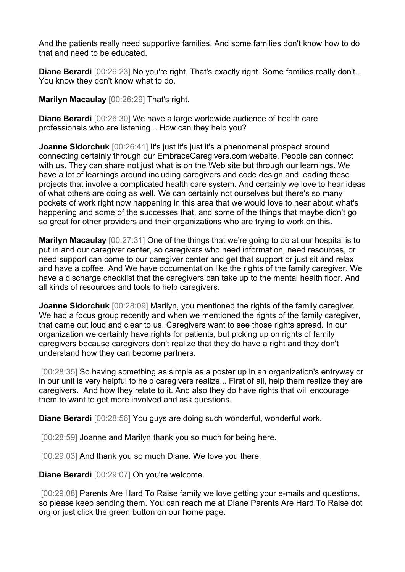And the patients really need supportive families. And some families don't know how to do that and need to be educated.

**Diane Berardi**  $[00:26:23]$  No you're right. That's exactly right. Some families really don't... You know they don't know what to do.

**Marilyn Macaulay** [00:26:29] That's right.

**Diane Berardi** [00:26:30] We have a large worldwide audience of health care professionals who are listening... How can they help you?

**Joanne Sidorchuk** [00:26:41] It's just it's just it's a phenomenal prospect around connecting certainly through our EmbraceCaregivers.com website. People can connect with us. They can share not just what is on the Web site but through our learnings. We have a lot of learnings around including caregivers and code design and leading these projects that involve a complicated health care system. And certainly we love to hear ideas of what others are doing as well. We can certainly not ourselves but there's so many pockets of work right now happening in this area that we would love to hear about what's happening and some of the successes that, and some of the things that maybe didn't go so great for other providers and their organizations who are trying to work on this.

**Marilyn Macaulay** [00:27:31] One of the things that we're going to do at our hospital is to put in and our caregiver center, so caregivers who need information, need resources, or need support can come to our caregiver center and get that support or just sit and relax and have a coffee. And We have documentation like the rights of the family caregiver. We have a discharge checklist that the caregivers can take up to the mental health floor. And all kinds of resources and tools to help caregivers.

**Joanne Sidorchuk** [00:28:09] Marilyn, you mentioned the rights of the family caregiver. We had a focus group recently and when we mentioned the rights of the family caregiver, that came out loud and clear to us. Caregivers want to see those rights spread. In our organization we certainly have rights for patients, but picking up on rights of family caregivers because caregivers don't realize that they do have a right and they don't understand how they can become partners.

[00:28:35] So having something as simple as a poster up in an organization's entryway or in our unit is very helpful to help caregivers realize... First of all, help them realize they are caregivers. And how they relate to it. And also they do have rights that will encourage them to want to get more involved and ask questions.

**Diane Berardi** [00:28:56] You guys are doing such wonderful, wonderful work.

[00:28:59] Joanne and Marilyn thank you so much for being here.

[00:29:03] And thank you so much Diane. We love you there.

**Diane Berardi** [00:29:07] Oh you're welcome.

[00:29:08] Parents Are Hard To Raise family we love getting your e-mails and questions, so please keep sending them. You can reach me at Diane Parents Are Hard To Raise dot org or just click the green button on our home page.